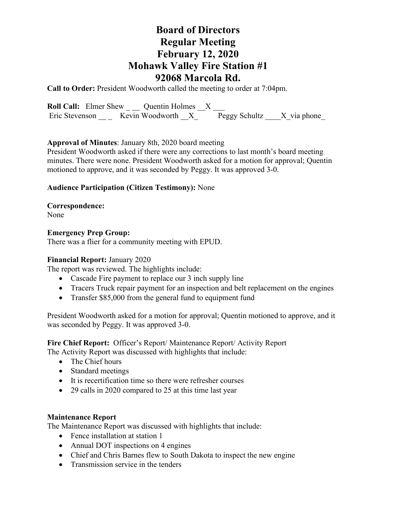# **Board of Directors Regular Meeting February 12, 2020 Mohawk Valley Fire Station #1 92068 Marcola Rd.**

**Call to Order:** President Woodworth called the meeting to order at 7:04pm.

**Roll Call:** Elmer Shew \_ \_ Quentin Holmes \_X \_ Eric Stevenson \_\_\_ Kevin Woodworth  $X$ <sup>\_\_\_</sup> Peggy Schultz \_\_\_X\_via phone\_

# **Approval of Minutes**: January 8th, 2020 board meeting

President Woodworth asked if there were any corrections to last month's board meeting minutes. There were none. President Woodworth asked for a motion for approval; Quentin motioned to approve, and it was seconded by Peggy. It was approved 3-0.

# **Audience Participation (Citizen Testimony):** None

# **Correspondence:**

None

### **Emergency Prep Group:**

There was a flier for a community meeting with EPUD.

### **Financial Report:** January 2020

The report was reviewed. The highlights include:

- Cascade Fire payment to replace our 3 inch supply line
- Tracers Truck repair payment for an inspection and belt replacement on the engines
- Transfer \$85,000 from the general fund to equipment fund

President Woodworth asked for a motion for approval; Quentin motioned to approve, and it was seconded by Peggy. It was approved 3-0.

**Fire Chief Report:** Officer's Report/ Maintenance Report/ Activity Report The Activity Report was discussed with highlights that include:

- 
- The Chief hours
- Standard meetings
- It is recertification time so there were refresher courses
- 29 calls in 2020 compared to 25 at this time last year

### **Maintenance Report**

The Maintenance Report was discussed with highlights that include:

- Fence installation at station 1
- Annual DOT inspections on 4 engines
- Chief and Chris Barnes flew to South Dakota to inspect the new engine
- Transmission service in the tenders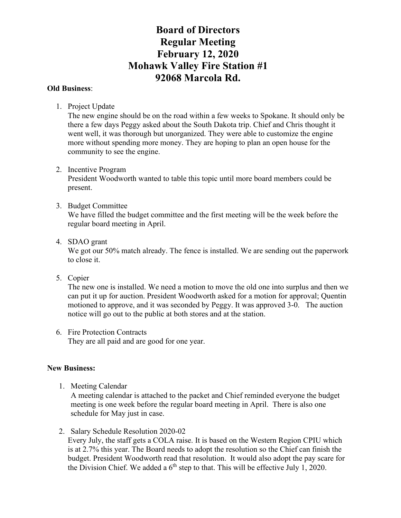# **Board of Directors Regular Meeting February 12, 2020 Mohawk Valley Fire Station #1 92068 Marcola Rd.**

# **Old Business**:

1. Project Update

The new engine should be on the road within a few weeks to Spokane. It should only be there a few days Peggy asked about the South Dakota trip. Chief and Chris thought it went well, it was thorough but unorganized. They were able to customize the engine more without spending more money. They are hoping to plan an open house for the community to see the engine.

2. Incentive Program

President Woodworth wanted to table this topic until more board members could be present.

# 3. Budget Committee

We have filled the budget committee and the first meeting will be the week before the regular board meeting in April.

4. SDAO grant

We got our 50% match already. The fence is installed. We are sending out the paperwork to close it.

5. Copier

The new one is installed. We need a motion to move the old one into surplus and then we can put it up for auction. President Woodworth asked for a motion for approval; Quentin motioned to approve, and it was seconded by Peggy. It was approved 3-0. The auction notice will go out to the public at both stores and at the station.

6. Fire Protection Contracts They are all paid and are good for one year.

# **New Business:**

1. Meeting Calendar

A meeting calendar is attached to the packet and Chief reminded everyone the budget meeting is one week before the regular board meeting in April. There is also one schedule for May just in case.

2. Salary Schedule Resolution 2020-02

Every July, the staff gets a COLA raise. It is based on the Western Region CPIU which is at 2.7% this year. The Board needs to adopt the resolution so the Chief can finish the budget. President Woodworth read that resolution. It would also adopt the pay scare for the Division Chief. We added a  $6<sup>th</sup>$  step to that. This will be effective July 1, 2020.